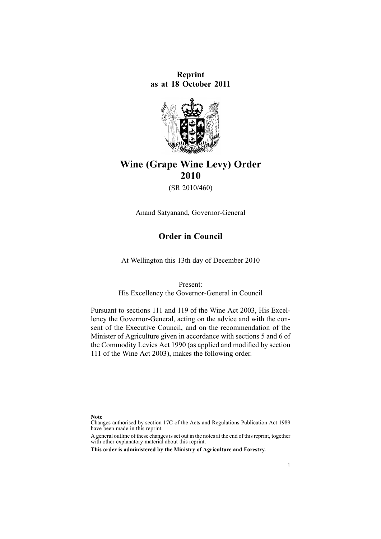**Reprint as at 18 October 2011**



# **Wine (Grape Wine Levy) Order 2010**

(SR 2010/460)

Anand Satyanand, Governor-General

# **Order in Council**

At Wellington this 13th day of December 2010

Present:

His Excellency the Governor-General in Council

Pursuant to [sections](http://www.legislation.govt.nz/pdflink.aspx?id=DLM223266) 111 and [119](http://www.legislation.govt.nz/pdflink.aspx?id=DLM223280) of the Wine Act 2003, His Excellency the Governor-General, acting on the advice and with the consent of the Executive Council, and on the recommendation of the Minister of Agriculture given in accordance with [sections](http://www.legislation.govt.nz/pdflink.aspx?id=DLM227327) 5 and [6](http://www.legislation.govt.nz/pdflink.aspx?id=DLM227329) of the Commodity Levies Act 1990 (as applied and modified by section 111 of the Wine Act 2003), makes the following order.

**Note**

Changes authorised by [section](http://www.legislation.govt.nz/pdflink.aspx?id=DLM195466) 17C of the Acts and Regulations Publication Act 1989 have been made in this reprint.

A general outline of these changes is set out in the notes at the end of this reprint, together with other explanatory material about this reprint.

**This order is administered by the Ministry of Agriculture and Forestry.**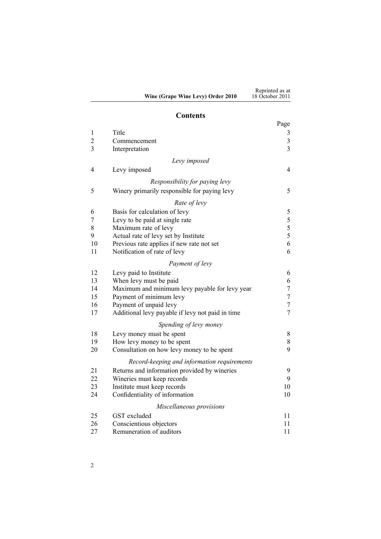#### **Contents**

|                |                                                  | Page                    |
|----------------|--------------------------------------------------|-------------------------|
| $\mathbf 1$    | Title                                            | $\mathfrak{Z}$          |
| $\overline{c}$ | Commencement                                     | $\overline{\mathbf{3}}$ |
| $\overline{3}$ | Interpretation                                   | $\overline{3}$          |
|                | Levy imposed                                     |                         |
| $\overline{4}$ | Levy imposed                                     | $\overline{4}$          |
|                | Responsibility for paying levy                   |                         |
| 5              | Winery primarily responsible for paying levy     | 5                       |
|                | Rate of levy                                     |                         |
| 6              | Basis for calculation of levy                    | 5                       |
| 7              | Levy to be paid at single rate                   |                         |
| 8              | Maximum rate of levy                             | $\frac{5}{5}$ 5 6       |
| 9              | Actual rate of levy set by Institute             |                         |
| 10             | Previous rate applies if new rate not set        |                         |
| 11             | Notification of rate of levy                     | 6                       |
|                | Payment of levy                                  |                         |
| 12             | Levy paid to Institute                           | 6                       |
| 13             | When levy must be paid                           | 6                       |
| 14             | Maximum and minimum levy payable for levy year   | $\tau$                  |
| 15             | Payment of minimum levy                          | $\tau$                  |
| 16             | Payment of unpaid levy                           | $\tau$                  |
| 17             | Additional levy payable if levy not paid in time | $\overline{7}$          |
|                | Spending of levy money                           |                         |
| 18             | Levy money must be spent                         | 8                       |
| 19             | How levy money to be spent                       | 8                       |
| 20             | Consultation on how levy money to be spent       | 9                       |
|                | Record-keeping and information requirements      |                         |
| 21             | Returns and information provided by wineries     | 9                       |
| 22             | Wineries must keep records                       | 9                       |
| 23             | Institute must keep records                      | 10                      |
| 24             | Confidentiality of information                   | 10                      |
|                | Miscellaneous provisions                         |                         |
| 25             | GST excluded                                     | 11                      |
| 26             | Conscientious objectors                          | 11                      |
| 27             | Remuneration of auditors                         | 11                      |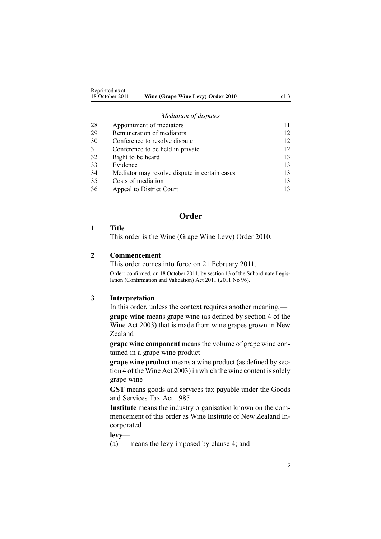<span id="page-2-0"></span>

| Reprinted as at |                                   |                 |
|-----------------|-----------------------------------|-----------------|
|                 |                                   |                 |
| 18 October 2011 | Wine (Grape Wine Levy) Order 2010 | cl <sup>3</sup> |
|                 |                                   |                 |

#### *Mediation of [disputes](#page-10-0)*

| 28 | Appointment of mediators                      | 11 |
|----|-----------------------------------------------|----|
| 29 | Remuneration of mediators                     | 12 |
| 30 | Conference to resolve dispute                 | 12 |
| 31 | Conference to be held in private              | 12 |
| 32 | Right to be heard                             | 13 |
| 33 | Evidence                                      | 13 |
| 34 | Mediator may resolve dispute in certain cases | 13 |
| 35 | Costs of mediation                            | 13 |
| 36 | Appeal to District Court                      | 13 |

# **Order**

### **1 Title**

This order is the Wine (Grape Wine Levy) Order 2010.

#### **2 Commencement**

This order comes into force on 21 February 2011.

Order: confirmed, on 18 October 2011, by [section](http://www.legislation.govt.nz/pdflink.aspx?id=DLM3859421) 13 of the Subordinate Legislation (Confirmation and Validation) Act 2011 (2011 No 96).

# **3 Interpretation**

In this order, unless the context requires another meaning,—

**grape wine** means grape wine (as defined by [section](http://www.legislation.govt.nz/pdflink.aspx?id=DLM222454) 4 of the Wine Act 2003) that is made from wine grapes grown in New Zealand

**grape wine componen<sup>t</sup>** means the volume of grape wine contained in <sup>a</sup> grape wine product

**grape wine product** means <sup>a</sup> wine product (as defined by [sec](http://www.legislation.govt.nz/pdflink.aspx?id=DLM222454)[tion](http://www.legislation.govt.nz/pdflink.aspx?id=DLM222454) 4 of the Wine Act 2003) in which the wine content is solely grape wine

**GST** means goods and services tax payable under the [Goods](http://www.legislation.govt.nz/pdflink.aspx?id=DLM81034) and [Services](http://www.legislation.govt.nz/pdflink.aspx?id=DLM81034) Tax Act 1985

**Institute** means the industry organisation known on the commencement of this order as Wine Institute of New Zealand Incorporated

**levy**—

(a) means the levy imposed by [clause](#page-3-0) 4; and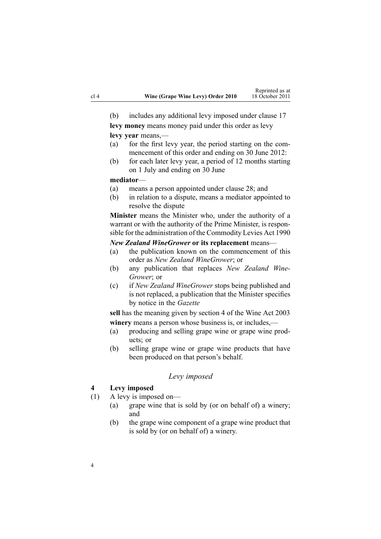<span id="page-3-0"></span>(b) includes any additional levy imposed under [clause](#page-6-0) 17

**levy money** means money paid under this order as levy **levy year** means,—

- (a) for the first levy year, the period starting on the commencement of this order and ending on 30 June 2012:
- (b) for each later levy year, <sup>a</sup> period of 12 months starting on 1 July and ending on 30 June

#### **mediator**—

- (a) means <sup>a</sup> person appointed under [clause](#page-10-0) 28; and
- (b) in relation to <sup>a</sup> dispute, means <sup>a</sup> mediator appointed to resolve the dispute

**Minister** means the Minister who, under the authority of <sup>a</sup> warrant or with the authority of the Prime Minister, is responsible for the administration of the [Commodity](http://www.legislation.govt.nz/pdflink.aspx?id=DLM226673) Levies Act 1990

#### *New Zealand WineGrower* **or its replacement** means—

- (a) the publication known on the commencement of this order as *New Zealand WineGrower*; or
- (b) any publication that replaces *New Zealand Wine-Grower*; or
- (c) if *New Zealand WineGrower* stops being published and is not replaced, <sup>a</sup> publication that the Minister specifies by notice in the *Gazette*

**sell** has the meaning given by [section](http://www.legislation.govt.nz/pdflink.aspx?id=DLM222454) 4 of the Wine Act 2003 **winery** means <sup>a</sup> person whose business is, or includes,—

- (a) producing and selling grape wine or grape wine products; or
- (b) selling grape wine or grape wine products that have been produced on that person's behalf.

#### *Levy imposed*

#### **4 Levy imposed**

- (1) A levy is imposed on—
	- (a) grape wine that is sold by (or on behalf of) <sup>a</sup> winery; and
	- (b) the grape wine componen<sup>t</sup> of <sup>a</sup> grape wine product that is sold by (or on behalf of) <sup>a</sup> winery.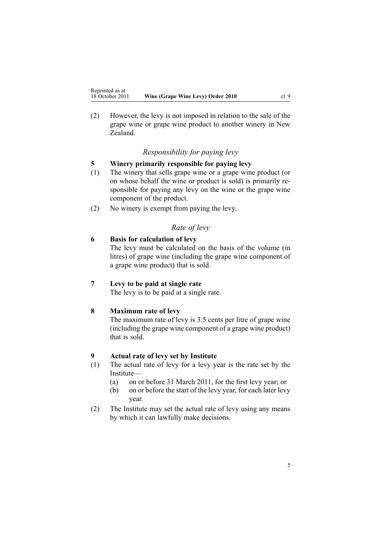<span id="page-4-0"></span>(2) However, the levy is not imposed in relation to the sale of the grape wine or grape wine product to another winery in New Zealand.

# *Responsibility for paying levy*

# **5 Winery primarily responsible for paying levy**

- (1) The winery that sells grape wine or <sup>a</sup> grape wine product (or on whose behalf the wine or product is sold) is primarily responsible for paying any levy on the wine or the grape wine componen<sup>t</sup> of the product.
- (2) No winery is exemp<sup>t</sup> from paying the levy.

# *Rate of levy*

# **6 Basis for calculation of levy**

The levy must be calculated on the basis of the volume (in litres) of grape wine (including the grape wine componen<sup>t</sup> of <sup>a</sup> grape wine product) that is sold.

# **7 Levy to be paid at single rate**

The levy is to be paid at <sup>a</sup> single rate.

# **8 Maximum rate of levy**

The maximum rate of levy is 3.5 cents per litre of grape wine (including the grape wine componen<sup>t</sup> of <sup>a</sup> grape wine product) that is sold.

# **9 Actual rate of levy set by Institute**

- (1) The actual rate of levy for <sup>a</sup> levy year is the rate set by the Institute—
	- (a) on or before 31 March 2011, for the first levy year; or
	- (b) on or before the start of the levy year, for each later levy year.
- (2) The Institute may set the actual rate of levy using any means by which it can lawfully make decisions.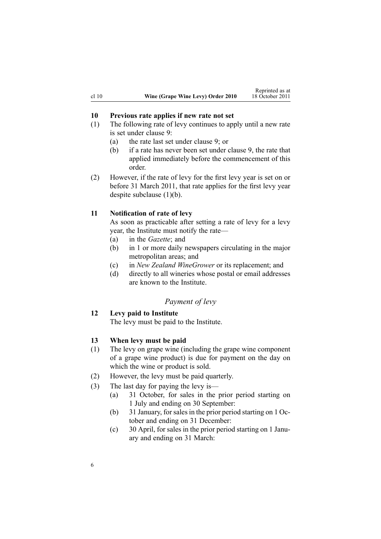<span id="page-5-0"></span>

|       |                                   | weptunca as a   |
|-------|-----------------------------------|-----------------|
| cl 10 | Wine (Grape Wine Levy) Order 2010 | 18 October 2011 |

Reprinted as at

### **10 Previous rate applies if new rate not set**

- (1) The following rate of levy continues to apply until <sup>a</sup> new rate is set under [clause](#page-4-0) 9:
	- (a) the rate last set under [clause](#page-4-0) 9; or
	- (b) if <sup>a</sup> rate has never been set under [clause](#page-4-0) 9, the rate that applied immediately before the commencement of this order.
- (2) However, if the rate of levy for the first levy year is set on or before 31 March 2011, that rate applies for the first levy year despite subclause (1)(b).

#### **11 Notification of rate of levy**

As soon as practicable after setting <sup>a</sup> rate of levy for <sup>a</sup> levy year, the Institute must notify the rate—

- (a) in the *Gazette*; and
- (b) in 1 or more daily newspapers circulating in the major metropolitan areas; and
- (c) in *New Zealand WineGrower* or its replacement; and
- (d) directly to all wineries whose postal or email addresses are known to the Institute.

### *Payment of levy*

# **12 Levy paid to Institute**

The levy must be paid to the Institute.

### **13 When levy must be paid**

- (1) The levy on grape wine (including the grape wine componen<sup>t</sup> of <sup>a</sup> grape wine product) is due for paymen<sup>t</sup> on the day on which the wine or product is sold.
- (2) However, the levy must be paid quarterly.
- (3) The last day for paying the levy is—
	- (a) 31 October, for sales in the prior period starting on 1 July and ending on 30 September:
	- (b) 31 January, forsalesin the prior period starting on 1 October and ending on 31 December:
	- (c) 30 April, for sales in the prior period starting on 1 January and ending on 31 March: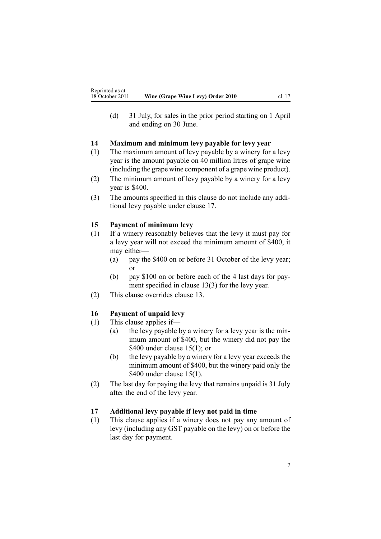<span id="page-6-0"></span>(d) 31 July, for sales in the prior period starting on 1 April and ending on 30 June.

# **14 Maximum and minimum levy payable for levy year**

- (1) The maximum amount of levy payable by <sup>a</sup> winery for <sup>a</sup> levy year is the amount payable on 40 million litres of grape wine (including the grape wine componen<sup>t</sup> of <sup>a</sup> grape wine product).
- (2) The minimum amount of levy payable by <sup>a</sup> winery for <sup>a</sup> levy year is \$400.
- (3) The amounts specified in this clause do not include any additional levy payable under clause 17.

# **15 Payment of minimum levy**

- (1) If <sup>a</sup> winery reasonably believes that the levy it must pay for <sup>a</sup> levy year will not exceed the minimum amount of \$400, it may either—
	- (a) pay the \$400 on or before 31 October of the levy year; or
	- (b) pay \$100 on or before each of the 4 last days for payment specified in [clause](#page-5-0) 13(3) for the levy year.
- (2) This clause overrides [clause](#page-5-0) 13.

# **16 Payment of unpaid levy**

- (1) This clause applies if—
	- (a) the levy payable by <sup>a</sup> winery for <sup>a</sup> levy year is the minimum amount of \$400, but the winery did not pay the \$400 under clause  $15(1)$ ; or
	- (b) the levy payable by <sup>a</sup> winery for <sup>a</sup> levy year exceeds the minimum amount of \$400, but the winery paid only the \$400 under clause 15(1).
- (2) The last day for paying the levy that remains unpaid is 31 July after the end of the levy year.

# **17 Additional levy payable if levy not paid in time**

(1) This clause applies if <sup>a</sup> winery does not pay any amount of levy (including any GST payable on the levy) on or before the last day for payment.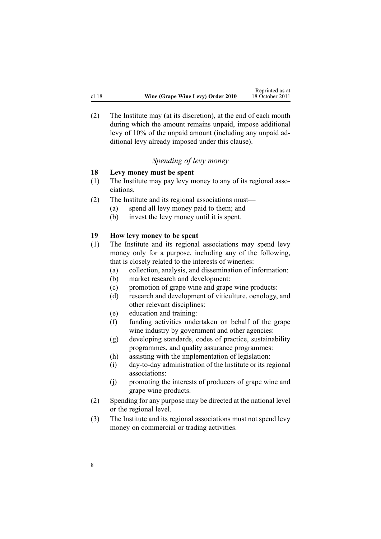<span id="page-7-0"></span>(2) The Institute may (at its discretion), at the end of each month during which the amount remains unpaid, impose additional levy of 10% of the unpaid amount (including any unpaid additional levy already imposed under this clause).

# *Spending of levy money*

### **18 Levy money must be spent**

- (1) The Institute may pay levy money to any of its regional associations.
- (2) The Institute and its regional associations must—
	- (a) spend all levy money paid to them; and
	- (b) invest the levy money until it is spent.

### **19 How levy money to be spent**

- (1) The Institute and its regional associations may spend levy money only for <sup>a</sup> purpose, including any of the following, that is closely related to the interests of wineries:
	- (a) collection, analysis, and dissemination of information:
	- (b) market research and development:
	- (c) promotion of grape wine and grape wine products:
	- (d) research and development of viticulture, oenology, and other relevant disciplines:
	- (e) education and training:
	- (f) funding activities undertaken on behalf of the grape wine industry by government and other agencies:
	- (g) developing standards, codes of practice, sustainability programmes, and quality assurance programmes:
	- (h) assisting with the implementation of legislation:
	- (i) day-to-day administration of the Institute or its regional associations:
	- (j) promoting the interests of producers of grape wine and grape wine products.
- (2) Spending for any purpose may be directed at the national level or the regional level.
- (3) The Institute and its regional associations must not spend levy money on commercial or trading activities.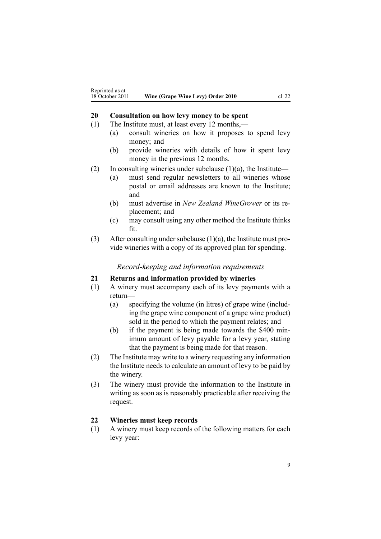### <span id="page-8-0"></span>**20 Consultation on how levy money to be spent**

- (1) The Institute must, at least every 12 months,—
	- (a) consult wineries on how it proposes to spend levy money; and
	- (b) provide wineries with details of how it spen<sup>t</sup> levy money in the previous 12 months.
- (2) In consulting wineries under subclause  $(1)(a)$ , the Institute—
	- (a) must send regular newsletters to all wineries whose postal or email addresses are known to the Institute; and
	- (b) must advertise in *New Zealand WineGrower* or its replacement; and
	- (c) may consult using any other method the Institute thinks fit.
- (3) After consulting under subclause  $(1)(a)$ , the Institute must provide wineries with <sup>a</sup> copy of its approved plan for spending.

#### *Record-keeping and information requirements*

#### **21 Returns and information provided by wineries**

- (1) A winery must accompany each of its levy payments with <sup>a</sup> return—
	- (a) specifying the volume (in litres) of grape wine (including the grape wine componen<sup>t</sup> of <sup>a</sup> grape wine product) sold in the period to which the paymen<sup>t</sup> relates; and
	- (b) if the paymen<sup>t</sup> is being made towards the \$400 minimum amount of levy payable for <sup>a</sup> levy year, stating that the paymen<sup>t</sup> is being made for that reason.
- (2) The Institute may write to <sup>a</sup> winery requesting any information the Institute needs to calculate an amount of levy to be paid by the winery.
- (3) The winery must provide the information to the Institute in writing as soon as is reasonably practicable after receiving the request.

#### **22 Wineries must keep records**

(1) A winery must keep records of the following matters for each levy year: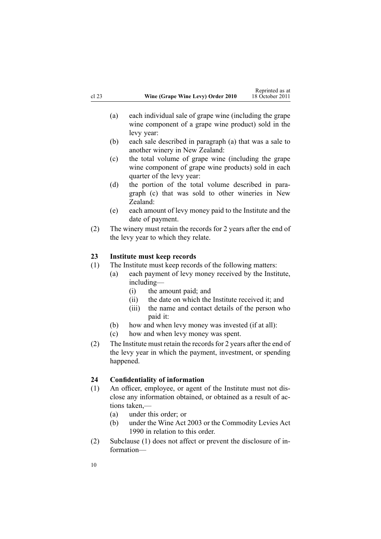- <span id="page-9-0"></span>(a) each individual sale of grape wine (including the grape wine componen<sup>t</sup> of <sup>a</sup> grape wine product) sold in the levy year:
- (b) each sale described in paragraph (a) that was <sup>a</sup> sale to another winery in New Zealand:
- (c) the total volume of grape wine (including the grape wine componen<sup>t</sup> of grape wine products) sold in each quarter of the levy year:
- (d) the portion of the total volume described in paragraph (c) that was sold to other wineries in New Zealand:
- (e) each amount of levy money paid to the Institute and the date of payment.
- (2) The winery must retain the records for 2 years after the end of the levy year to which they relate.

# **23 Institute must keep records**

- (1) The Institute must keep records of the following matters:
	- (a) each paymen<sup>t</sup> of levy money received by the Institute, including—
		- (i) the amount paid; and
		- (ii) the date on which the Institute received it; and
		- (iii) the name and contact details of the person who paid it:
		- (b) how and when levy money was invested (if at all):
	- (c) how and when levy money was spent.
- (2) The Institute must retain the records for 2 years after the end of the levy year in which the payment, investment, or spending happened.

# **24 Confidentiality of information**

- (1) An officer, employee, or agen<sup>t</sup> of the Institute must not disclose any information obtained, or obtained as <sup>a</sup> result of actions taken,—
	- (a) under this order; or
	- (b) under the [Wine](http://www.legislation.govt.nz/pdflink.aspx?id=DLM222446) Act 2003 or the [Commodity](http://www.legislation.govt.nz/pdflink.aspx?id=DLM226673) Levies Act [1990](http://www.legislation.govt.nz/pdflink.aspx?id=DLM226673) in relation to this order.
- (2) Subclause (1) does not affect or preven<sup>t</sup> the disclosure of information—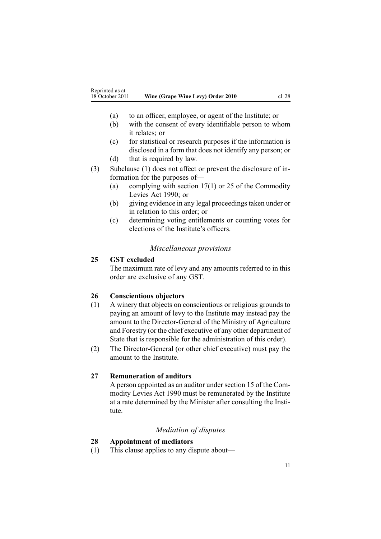- <span id="page-10-0"></span>(a) to an officer, employee, or agen<sup>t</sup> of the Institute; or
- (b) with the consent of every identifiable person to whom it relates; or
- (c) for statistical or research purposes if the information is disclosed in <sup>a</sup> form that does not identify any person; or
- (d) that is required by law.
- (3) Subclause (1) does not affect or preven<sup>t</sup> the disclosure of information for the purposes of—
	- (a) complying with [section](http://www.legislation.govt.nz/pdflink.aspx?id=DLM227345) 17(1) or [25](http://www.legislation.govt.nz/pdflink.aspx?id=DLM227355) of the Commodity Levies Act 1990; or
	- (b) giving evidence in any legal proceedings taken under or in relation to this order; or
	- (c) determining voting entitlements or counting votes for elections of the Institute's officers.

#### *Miscellaneous provisions*

#### **25 GST excluded**

The maximum rate of levy and any amounts referred to in this order are exclusive of any GST.

### **26 Conscientious objectors**

- (1) A winery that objects on conscientious or religious grounds to paying an amount of levy to the Institute may instead pay the amount to the Director-General of the Ministry of Agriculture and Forestry (or the chief executive of any other department of State that is responsible for the administration of this order).
- (2) The Director-General (or other chief executive) must pay the amount to the Institute.

#### **27 Remuneration of auditors**

A person appointed as an auditor under [section](http://www.legislation.govt.nz/pdflink.aspx?id=DLM227341) 15 of the Commodity Levies Act 1990 must be remunerated by the Institute at <sup>a</sup> rate determined by the Minister after consulting the Institute.

### *Mediation of disputes*

#### **28 Appointment of mediators**

(1) This clause applies to any dispute about—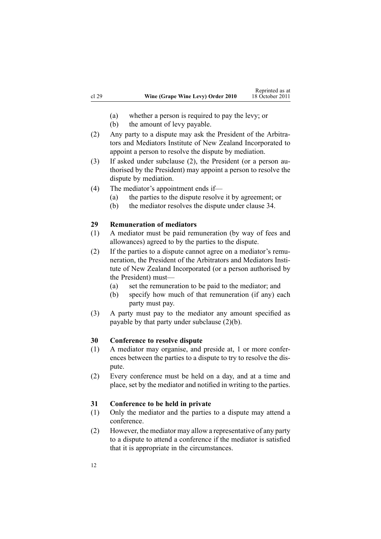- <span id="page-11-0"></span>(a) whether <sup>a</sup> person is required to pay the levy; or
- (b) the amount of levy payable.
- (2) Any party to <sup>a</sup> dispute may ask the President of the Arbitrators and Mediators Institute of New Zealand Incorporated to appoint <sup>a</sup> person to resolve the dispute by mediation.
- (3) If asked under subclause (2), the President (or <sup>a</sup> person authorised by the President) may appoint <sup>a</sup> person to resolve the dispute by mediation.
- (4) The mediator's appointment ends if—
	- (a) the parties to the dispute resolve it by agreement; or
	- (b) the mediator resolves the dispute under [clause](#page-12-0) 34.

#### **29 Remuneration of mediators**

- (1) A mediator must be paid remuneration (by way of fees and allowances) agreed to by the parties to the dispute.
- (2) If the parties to <sup>a</sup> dispute cannot agree on <sup>a</sup> mediator's remuneration, the President of the Arbitrators and Mediators Institute of New Zealand Incorporated (or <sup>a</sup> person authorised by the President) must—
	- (a) set the remuneration to be paid to the mediator; and
	- (b) specify how much of that remuneration (if any) each party must pay.
- (3) A party must pay to the mediator any amount specified as payable by that party under subclause (2)(b).

### **30 Conference to resolve dispute**

- (1) A mediator may organise, and preside at, 1 or more conferences between the parties to <sup>a</sup> dispute to try to resolve the dispute.
- (2) Every conference must be held on <sup>a</sup> day, and at <sup>a</sup> time and place, set by the mediator and notified in writing to the parties.

#### **31 Conference to be held in private**

- (1) Only the mediator and the parties to <sup>a</sup> dispute may attend <sup>a</sup> conference.
- (2) However, the mediator may allow <sup>a</sup> representative of any party to <sup>a</sup> dispute to attend <sup>a</sup> conference if the mediator is satisfied that it is appropriate in the circumstances.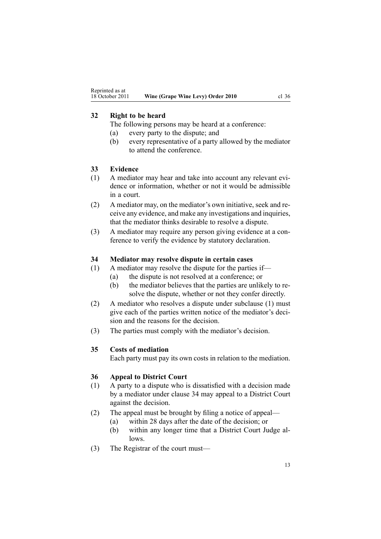# <span id="page-12-0"></span>**32 Right to be heard**

The following persons may be heard at <sup>a</sup> conference:

- (a) every party to the dispute; and
- (b) every representative of <sup>a</sup> party allowed by the mediator to attend the conference.

### **33 Evidence**

- (1) A mediator may hear and take into account any relevant evidence or information, whether or not it would be admissible in <sup>a</sup> court.
- (2) A mediator may, on the mediator's own initiative, seek and receive any evidence, and make any investigations and inquiries, that the mediator thinks desirable to resolve <sup>a</sup> dispute.
- (3) A mediator may require any person giving evidence at <sup>a</sup> conference to verify the evidence by statutory declaration.

# **34 Mediator may resolve dispute in certain cases**

(1) A mediator may resolve the dispute for the parties if—

- (a) the dispute is not resolved at <sup>a</sup> conference; or
	- (b) the mediator believes that the parties are unlikely to resolve the dispute, whether or not they confer directly.
- (2) A mediator who resolves <sup>a</sup> dispute under subclause (1) must give each of the parties written notice of the mediator's decision and the reasons for the decision.
- (3) The parties must comply with the mediator's decision.

# **35 Costs of mediation**

Each party must pay its own costs in relation to the mediation.

# **36 Appeal to District Court**

- (1) A party to <sup>a</sup> dispute who is dissatisfied with <sup>a</sup> decision made by <sup>a</sup> mediator under clause 34 may appeal to <sup>a</sup> District Court against the decision.
- (2) The appeal must be brought by filing <sup>a</sup> notice of appeal—
	- (a) within 28 days after the date of the decision; or
	- (b) within any longer time that <sup>a</sup> District Court Judge allows.
- (3) The Registrar of the court must—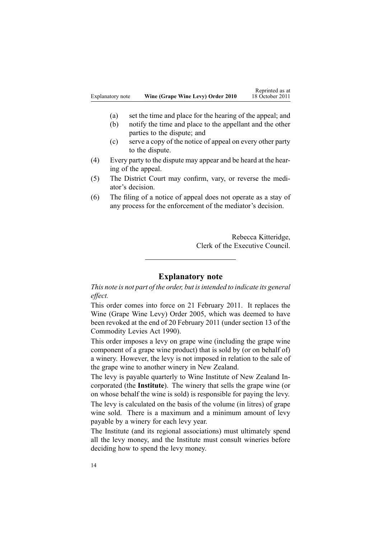- (a) set the time and place for the hearing of the appeal; and
- (b) notify the time and place to the appellant and the other parties to the dispute; and
- (c) serve <sup>a</sup> copy of the notice of appeal on every other party to the dispute.
- (4) Every party to the dispute may appear and be heard at the hearing of the appeal.
- (5) The District Court may confirm, vary, or reverse the mediator's decision.
- (6) The filing of <sup>a</sup> notice of appeal does not operate as <sup>a</sup> stay of any process for the enforcement of the mediator's decision.

Rebecca Kitteridge, Clerk of the Executive Council.

# **Explanatory note**

*This note is not par<sup>t</sup> of the order, but isintended to indicate its general effect.*

This order comes into force on 21 February 2011. It replaces the Wine [\(Grape](http://www.legislation.govt.nz/pdflink.aspx?id=DLM313264) Wine Levy) Order 2005, which was deemed to have been revoked at the end of 20 February 2011 (under [section](http://www.legislation.govt.nz/pdflink.aspx?id=DLM227338) 13 of the Commodity Levies Act 1990).

This order imposes <sup>a</sup> levy on grape wine (including the grape wine componen<sup>t</sup> of <sup>a</sup> grape wine product) that is sold by (or on behalf of) <sup>a</sup> winery. However, the levy is not imposed in relation to the sale of the grape wine to another winery in New Zealand.

The levy is payable quarterly to Wine Institute of New Zealand Incorporated (the **Institute**). The winery that sells the grape wine (or on whose behalf the wine is sold) is responsible for paying the levy. The levy is calculated on the basis of the volume (in litres) of grape wine sold. There is <sup>a</sup> maximum and <sup>a</sup> minimum amount of levy payable by <sup>a</sup> winery for each levy year.

The Institute (and its regional associations) must ultimately spend all the levy money, and the Institute must consult wineries before deciding how to spend the levy money.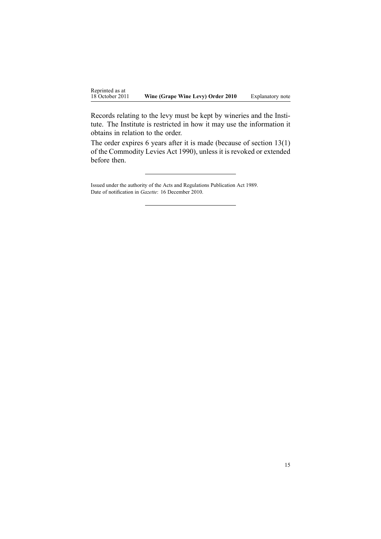Records relating to the levy must be kept by wineries and the Institute. The Institute is restricted in how it may use the information it obtains in relation to the order.

The order expires 6 years after it is made (because of [section](http://www.legislation.govt.nz/pdflink.aspx?id=DLM227338) 13(1) of the Commodity Levies Act 1990), unless it is revoked or extended before then.

Issued under the authority of the Acts and Regulations Publication Act 1989. Date of notification in *Gazette*: 16 December 2010.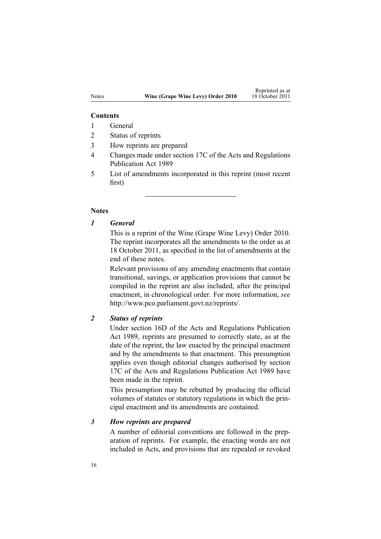#### **Contents**

- 1 General
- 2 Status of reprints
- 3 How reprints are prepared
- 4 Changes made under section 17C of the Acts and Regulations Publication Act 1989
- 5 List of amendments incorporated in this reprint (most recent first)

#### **Notes**

*1 General*

This is <sup>a</sup> reprint of the Wine (Grape Wine Levy) Order 2010. The reprint incorporates all the amendments to the order as at 18 October 2011, as specified in the list of amendments at the end of these notes.

Relevant provisions of any amending enactments that contain transitional, savings, or application provisions that cannot be compiled in the reprint are also included, after the principal enactment, in chronological order. For more information, *see* <http://www.pco.parliament.govt.nz/reprints/>.

### *2 Status of reprints*

Under [section](http://www.legislation.govt.nz/pdflink.aspx?id=DLM195439) 16D of the Acts and Regulations Publication Act 1989, reprints are presumed to correctly state, as at the date of the reprint, the law enacted by the principal enactment and by the amendments to that enactment. This presumption applies even though editorial changes authorised by [section](http://www.legislation.govt.nz/pdflink.aspx?id=DLM195466) [17C](http://www.legislation.govt.nz/pdflink.aspx?id=DLM195466) of the Acts and Regulations Publication Act 1989 have been made in the reprint.

This presumption may be rebutted by producing the official volumes of statutes or statutory regulations in which the principal enactment and its amendments are contained.

#### *3 How reprints are prepared*

A number of editorial conventions are followed in the preparation of reprints. For example, the enacting words are not included in Acts, and provisions that are repealed or revoked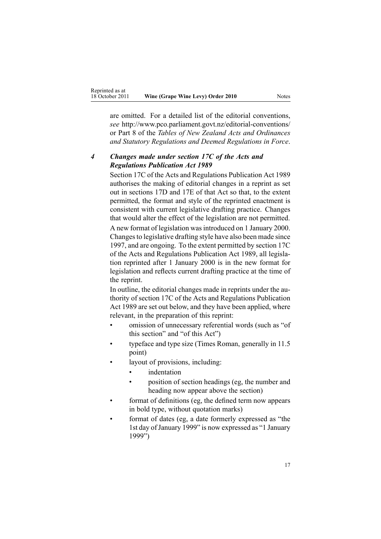are omitted. For <sup>a</sup> detailed list of the editorial conventions, *see* [http://www.pco.parliament.govt.nz/editorial-conventions/](http://www.pco.parliament.govt.nz/editorial-conventions/ ) or Part 8 of the *Tables of New Zealand Acts and Ordinances and Statutory Regulations and Deemed Regulations in Force*.

# *4 Changes made under section 17C of the Acts and Regulations Publication Act 1989*

[Section](http://www.legislation.govt.nz/pdflink.aspx?id=DLM195466) 17C of the Acts and Regulations Publication Act 1989 authorises the making of editorial changes in <sup>a</sup> reprint as set out in [sections](http://www.legislation.govt.nz/pdflink.aspx?id=DLM195468) 17D and [17E](http://www.legislation.govt.nz/pdflink.aspx?id=DLM195470) of that Act so that, to the extent permitted, the format and style of the reprinted enactment is consistent with current legislative drafting practice. Changes that would alter the effect of the legislation are not permitted.

A new format of legislation wasintroduced on 1 January 2000. Changesto legislative drafting style have also been made since 1997, and are ongoing. To the extent permitted by [section](http://www.legislation.govt.nz/pdflink.aspx?id=DLM195466) 17C of the Acts and Regulations Publication Act 1989, all legislation reprinted after 1 January 2000 is in the new format for legislation and reflects current drafting practice at the time of the reprint.

In outline, the editorial changes made in reprints under the authority of [section](http://www.legislation.govt.nz/pdflink.aspx?id=DLM195466) 17C of the Acts and Regulations Publication Act 1989 are set out below, and they have been applied, where relevant, in the preparation of this reprint:

- • omission of unnecessary referential words (such as "of this section" and "of this Act")
- • typeface and type size (Times Roman, generally in 11.5 point)
- • layout of provisions, including:
	- •indentation
	- • position of section headings (eg, the number and heading now appear above the section)
- • format of definitions (eg, the defined term now appears in bold type, without quotation marks)
- • format of dates (eg, <sup>a</sup> date formerly expressed as "the 1st day of January 1999" is now expressed as "1 January 1999")